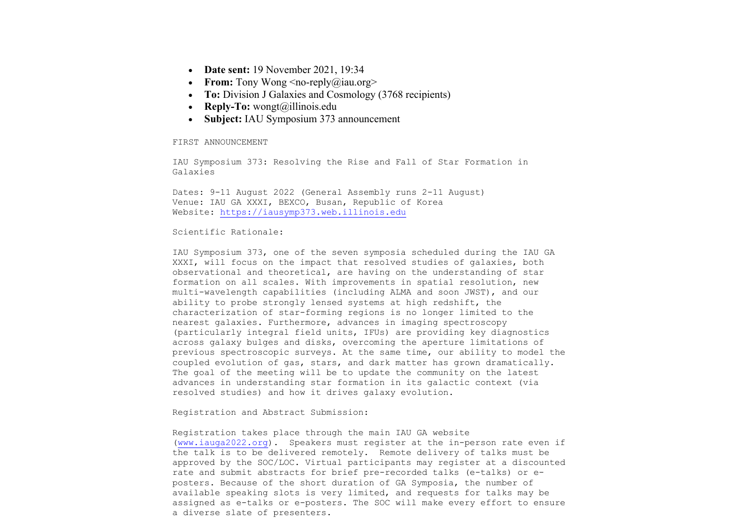- **Date sent:** 19 November 2021, 19:34
- **From:** Tony Wong  $\leq$ no-reply $\left(\frac{\partial}{\partial x}\right)$ iau.org>
- **To:** Division J Galaxies and Cosmology (3768 recipients)
- **Reply-To:** wongt@illinois.edu
- **Subject: IAU Symposium 373 announcement**

FIRST ANNOUNCEMENT

IAU Symposium 373: Resolving the Rise and Fall of Star Formation in Galaxies

Dates: 9-11 August 2022 (General Assembly runs 2-11 August) Venue: IAU GA XXXI, BEXCO, Busan, Republic of Korea Website: https://iausymp373.web.illinois.edu

## Scientific Rationale:

IAU Symposium 373, one of the seven symposia scheduled during the IAU GA XXXI, will focus on the impact that resolved studies of galaxies, both observational and theoretical, are having on the understanding of star formation on all scales. With improvements in spatial resolution, new multi-wavelength capabilities (including ALMA and soon JWST), and our ability to probe strongly lensed systems at high redshift, the characterization of star-forming regions is no longer limited to the nearest galaxies. Furthermore, advances in imaging spectroscopy (particularly integral field units, IFUs) are providing key diagnostics across galaxy bulges and disks, overcoming the aperture limitations of previous spectroscopic surveys. At the same time, our ability to model the coupled evolution of gas, stars, and dark matter has grown dramatically. The goal of the meeting will be to update the community on the latest advances in understanding star formation in its galactic context (via resolved studies) and how it drives galaxy evolution.

Registration and Abstract Submission:

Registration takes place through the main IAU GA website (www.iauga2022.org). Speakers must register at the in-person rate even if the talk is to be delivered remotely. Remote delivery of talks must be approved by the SOC/LOC. Virtual participants may register at a discounted rate and submit abstracts for brief pre-recorded talks (e-talks) or eposters. Because of the short duration of GA Symposia, the number of available speaking slots is very limited, and requests for talks may be assigned as e-talks or e-posters. The SOC will make every effort to ensure a diverse slate of presenters.